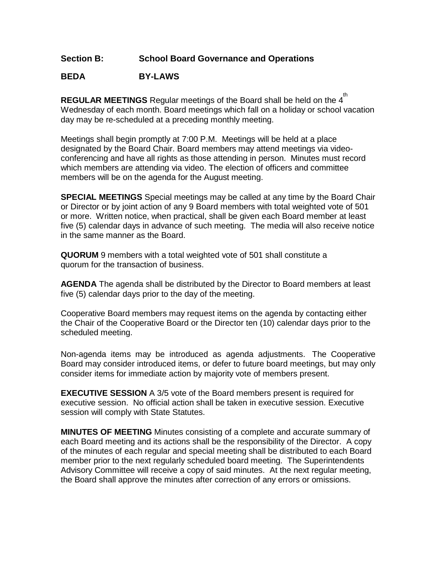## **Section B: School Board Governance and Operations**

## **BEDA BY-LAWS**

**REGULAR MEETINGS** Regular meetings of the Board shall be held on the 4<sup>th</sup> Wednesday of each month. Board meetings which fall on a holiday or school vacation day may be re-scheduled at a preceding monthly meeting.

Meetings shall begin promptly at 7:00 P.M. Meetings will be held at a place designated by the Board Chair. Board members may attend meetings via videoconferencing and have all rights as those attending in person. Minutes must record which members are attending via video. The election of officers and committee members will be on the agenda for the August meeting.

**SPECIAL MEETINGS** Special meetings may be called at any time by the Board Chair or Director or by joint action of any 9 Board members with total weighted vote of 501 or more. Written notice, when practical, shall be given each Board member at least five (5) calendar days in advance of such meeting. The media will also receive notice in the same manner as the Board.

**QUORUM** 9 members with a total weighted vote of 501 shall constitute a quorum for the transaction of business.

**AGENDA** The agenda shall be distributed by the Director to Board members at least five (5) calendar days prior to the day of the meeting.

Cooperative Board members may request items on the agenda by contacting either the Chair of the Cooperative Board or the Director ten (10) calendar days prior to the scheduled meeting.

Non-agenda items may be introduced as agenda adjustments. The Cooperative Board may consider introduced items, or defer to future board meetings, but may only consider items for immediate action by majority vote of members present.

**EXECUTIVE SESSION** A 3/5 vote of the Board members present is required for executive session. No official action shall be taken in executive session. Executive session will comply with State Statutes.

**MINUTES OF MEETING** Minutes consisting of a complete and accurate summary of each Board meeting and its actions shall be the responsibility of the Director. A copy of the minutes of each regular and special meeting shall be distributed to each Board member prior to the next regularly scheduled board meeting. The Superintendents Advisory Committee will receive a copy of said minutes. At the next regular meeting, the Board shall approve the minutes after correction of any errors or omissions.